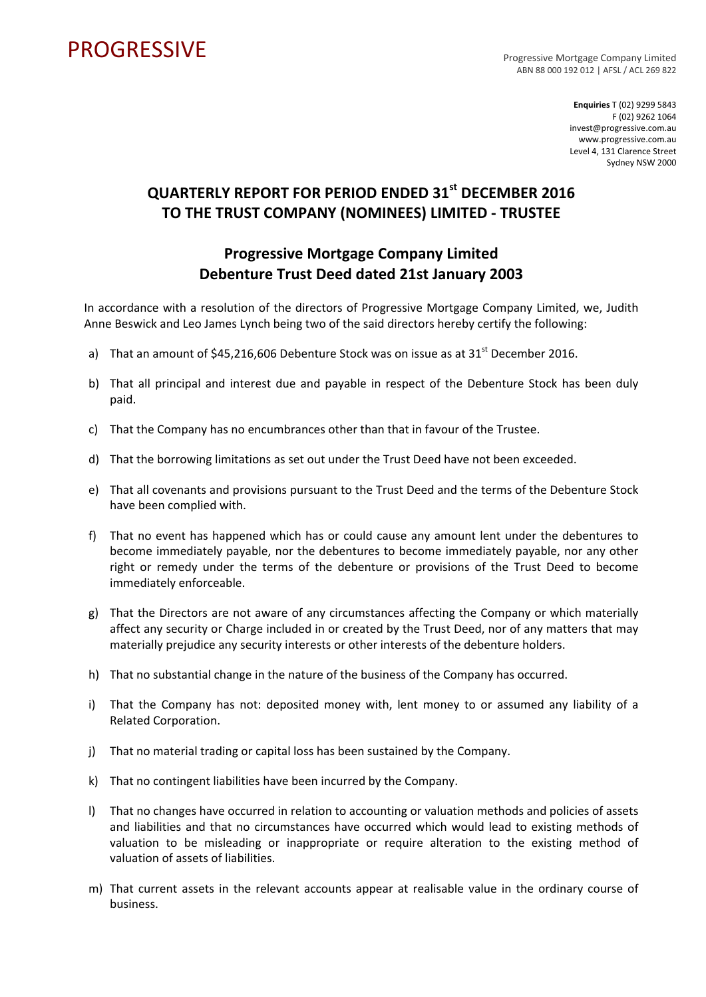## PROGRESSIVE PROGRESSIVE

ABN 88 000 192 012 | AFSL / ACL 269 822

**Enquiries** T (02) 9299 5843 F (02) 9262 1064 invest@progressive.com.au www.progressive.com.au Level 4, 131 Clarence Street Sydney NSW 2000

## **QUARTERLY REPORT FOR PERIOD ENDED 31st DECEMBER 2016 TO THE TRUST COMPANY (NOMINEES) LIMITED ‐ TRUSTEE**

## **Progressive Mortgage Company Limited Debenture Trust Deed dated 21st January 2003**

In accordance with a resolution of the directors of Progressive Mortgage Company Limited, we, Judith Anne Beswick and Leo James Lynch being two of the said directors hereby certify the following:

- a) That an amount of \$45,216,606 Debenture Stock was on issue as at  $31<sup>st</sup>$  December 2016.
- b) That all principal and interest due and payable in respect of the Debenture Stock has been duly paid.
- c) That the Company has no encumbrances other than that in favour of the Trustee.
- d) That the borrowing limitations as set out under the Trust Deed have not been exceeded.
- e) That all covenants and provisions pursuant to the Trust Deed and the terms of the Debenture Stock have been complied with.
- f) That no event has happened which has or could cause any amount lent under the debentures to become immediately payable, nor the debentures to become immediately payable, nor any other right or remedy under the terms of the debenture or provisions of the Trust Deed to become immediately enforceable.
- g) That the Directors are not aware of any circumstances affecting the Company or which materially affect any security or Charge included in or created by the Trust Deed, nor of any matters that may materially prejudice any security interests or other interests of the debenture holders.
- h) That no substantial change in the nature of the business of the Company has occurred.
- i) That the Company has not: deposited money with, lent money to or assumed any liability of a Related Corporation.
- j) That no material trading or capital loss has been sustained by the Company.
- k) That no contingent liabilities have been incurred by the Company.
- l) That no changes have occurred in relation to accounting or valuation methods and policies of assets and liabilities and that no circumstances have occurred which would lead to existing methods of valuation to be misleading or inappropriate or require alteration to the existing method of valuation of assets of liabilities.
- m) That current assets in the relevant accounts appear at realisable value in the ordinary course of business.